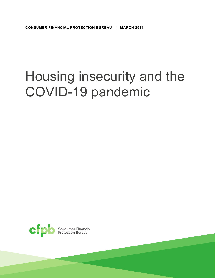# Housing insecurity and the COVID-19 pandemic

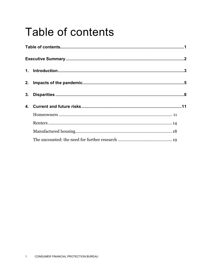### <span id="page-1-0"></span>Table of contents

| 3. |  |
|----|--|
|    |  |
|    |  |
|    |  |
|    |  |
|    |  |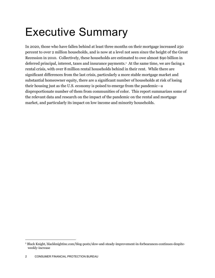## <span id="page-2-0"></span>Executive Summary

 Recession in 2010. Collectively, these households are estimated to owe almost \$90 billion in deferred principal, interest, taxes and insurance payments.[1](#page-2-1) At the same time, we are facing a rental crisis, with over 8 million rental households behind in their rent. While there are disproportionate number of them from communities of color. This report summarizes some of market, and particularly its impact on low income and minority households. In 2020, those who have fallen behind at least three months on their mortgage increased 250 percent to over 2 million households, and is now at a level not seen since the height of the Great significant differences from the last crisis, particularly a more stable mortgage market and substantial homeowner equity, there are a significant number of households at risk of losing their housing just as the U.S. economy is poised to emerge from the pandemic—a the relevant data and research on the impact of the pandemic on the rental and mortgage

<span id="page-2-1"></span><sup>1</sup> Black Knight, [blackknightinc.com/blog-posts/slow-and-steady-improvement-in-forbearances-continues-despite](https://blackknightinc.com/blog-posts/slow-and-steady-improvement-in-forbearances-continues-despite)weekly-increase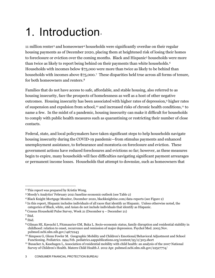### <span id="page-3-0"></span>1. Introduction.

 to foreclosure or eviction over the coming months. Black and Hispanic[5](#page-3-4) households were more than twice as likely to report being behind on their payments than white households. $^6$  $^6$  households with incomes above \$75,000.[7](#page-3-6) These disparities held true across all forms of tenure, 11 million renter[3](#page-3-2) and homeowner[4](#page-3-3) households were significantly overdue on their regular housing payments as of December 2020, placing them at heightened risk of losing their homes Households with incomes below \$75,000 were more than twice as likely to be behind than for both homeowners and renters.[8](#page-3-7) 

 Families that do not have access to safe, affordable, and stable housing, also referred to as housing insecurity, face the prospects of homelessness as well as a host of other negative of suspension and expulsion from school,<sup>[10](#page-3-9)</sup> and increased risks of chronic health conditions,<sup>[11](#page-3-10)</sup> to name a few. In the midst of a pandemic, housing insecurity can make it difficult for households outcomes. Housing insecurity has been associated with higher rates of depression,[9](#page-3-8) higher rates to comply with public health measures such as quarantining or restricting their number of close contacts.

 begin to expire, many households will face difficulties navigating significant payment arrearages or permanent income losses. Households that attempt to downsize, such as homeowners that Federal, state, and local policymakers have taken significant steps to help households navigate housing insecurity during the COVID-19 pandemic—from stimulus payments and enhanced unemployment assistance, to forbearance and moratoria on foreclosure and eviction. These government actions have reduced foreclosures and evictions so far; however, as these measures

<span id="page-3-1"></span><sup>&</sup>lt;sup>2</sup> This report was prepared by Kristin Wong.

<span id="page-3-3"></span><span id="page-3-2"></span><sup>&</sup>lt;sup>3</sup> Moody's Analytics' February 2021 baseline economic outlook (see Table 2)

 4 Black Knight Mortgage Monitor, December 2020, [blackknightinc.com/data-reports](https://blackknightinc.com/data-reports) (see Figure 2)

<span id="page-3-4"></span> 5 In this report, Hispanic includes individuals of all races that identify as Hispanic. Unless otherwise noted, the categories of Black, white, and Asian do not include individuals that identify as Hispanic.

<span id="page-3-5"></span> 6 Census Household Pulse Survey, Week 21 (December 9 – December 21)

<span id="page-3-6"></span> 7 Ibid.

<span id="page-3-7"></span> 8 Ibid.

<span id="page-3-8"></span> childhood: relation to onset, recurrence and remission of major depression. Psychol Med. 2003 Nov. 9 Gilman SE, Kawachi I, Fitzmaurice GM, Buka L. Socio-economic status, family disruption and residential stability in [pubmed.ncbi.nlm.nih.gov/14672243](https://pubmed.ncbi.nlm.nih.gov/14672243) 

<span id="page-3-9"></span> 10 Simpson G, Glenn Fowler M. Geographic Mobility and Children's Emotional/Behavioral Adjustment and School Functioning. Pediatrics. 1994 Feb. pediatrics.aappublications.org/content/93/2/303.short

<span id="page-3-10"></span>Functioning. Pediatrics. 1994 Feb. [pediatrics.aappublications.org/content/93/2/303.short](https://pediatrics.aappublications.org/content/93/2/303.short)<br><sup>11</sup> Busacker A, Kasehagen L, Association of residential mobility with child health: an analysis of the 2007 National Survey of Children's Health. Matern Child Health J. 2012 Apr. [pubmed.ncbi.nlm.nih.gov/22527774](https://pubmed.ncbi.nlm.nih.gov/22527774)/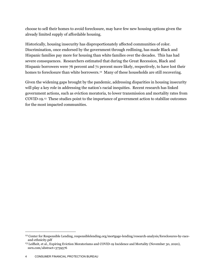choose to sell their homes to avoid foreclosure, may have few new housing options given the already limited supply of affordable housing.

Historically, housing insecurity has disproportionately affected communities of color. Discrimination, once endorsed by the government through redlining, has made Black and Hispanic families pay more for housing than white families over the decades. This has had severe consequences. Researchers estimated that during the Great Recession, Black and Hispanic borrowers were 76 percent and 71 percent more likely, respectively, to have lost their homes to foreclosure than white borrowers.<sup>12</sup> Many of these households are still recovering.

Given the widening gaps brought by the pandemic, addressing disparities in housing insecurity will play a key role in addressing the nation's racial inequities. Recent research has linked government actions, such as eviction moratoria, to lower transmission and mortality rates from [COVID-19.](https://COVID-19.13) [13](#page-4-1) These studies point to the importance of government action to stabilize outcomes for the most impacted communities.

<span id="page-4-0"></span><sup>&</sup>lt;sup>12</sup> Center for Responsible Lending, [responsiblelending.org/mortgage-lending/research-analysis/foreclosures-by-race](https://responsiblelending.org/mortgage-lending/research-analysis/foreclosures-by-race)and-ethnicity.pdf

<span id="page-4-1"></span><sup>13</sup> Leifheit, et al., Expiring Eviction Moratoriums and COVID-19 Incidence and Mortality (November 30, 2020), ssrn.com/abstract=3739576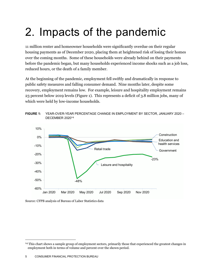## <span id="page-5-0"></span>2. Impacts of the pandemic

 housing payments as of December 2020, placing them at heightened risk of losing their homes over the coming months. Some of these households were already behind on their payments before the pandemic began, but many households experienced income shocks such as a job loss, 11 million renter and homeowner households were significantly overdue on their regular reduced hours, or the death of a family member.

 23 percent below 2019 levels (Figure 1). This represents a deficit of 3.8 million jobs, many of which were held by low-income households. At the beginning of the pandemic, employment fell swiftly and dramatically in response to public safety measures and falling consumer demand. Nine months later, despite some recovery, employment remains low. For example, leisure and hospitality employment remains





Source: CFPB analysis of Bureau of Labor Statistics data

<span id="page-5-1"></span><sup>&</sup>lt;sup>14</sup> This chart shows a sample group of employment sectors, primarily those that experienced the greatest changes in employment both in terms of volume and percent over the shown period.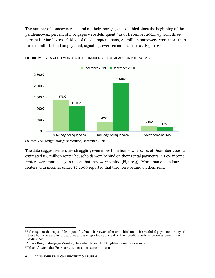percent in March 2020[.16](#page-6-1) Most of the delinquent loans, 2.1 million borrowers, were more than three months behind on payment, signaling severe economic distress (Figure 2). The number of homeowners behind on their mortgage has doubled since the beginning of the pandemic—six percent of mortgages were delinquent[15](#page-6-0) as of December 2020, up from three





Source: Black Knight Mortgage Monitor, December 2020

 The data suggest renters are struggling even more than homeowners. As of December 2020, an estimated 8.8 million renter households were behind on their rental payments.[17](#page-6-2) Low income renters were more likely to report that they were behind (Figure 3). More than one in four renters with incomes under \$25,000 reported that they were behind on their rent.

<span id="page-6-0"></span><sup>15</sup> Throughout this report, "delinquent" refers to borrowers who are behind on their scheduled payments. Many of these borrowers are in forbearance and are reported as current on their credit reports, in accordance with the

<span id="page-6-1"></span><sup>&</sup>lt;sup>16</sup> Black Knight Mortgage Monitor, December 2020, blackknightinc.com/data-reports

<span id="page-6-2"></span><sup>17</sup> Moody's Analytics' February 2021 baseline economic outlook

 6 CONSUMER FINANCIAL PROTECTION BUREAU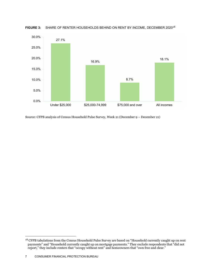

**FIGURE 3:** SHARE OF RENTER HOUSEHOLDS BEHIND ON RENT BY INCOME, DECEMBER 2020[18](#page-7-0) 

Source: CFPB analysis of Census Household Pulse Survey, Week 21 (December 9 – December 21)

<span id="page-7-0"></span><sup>&</sup>lt;sup>18</sup> CFPB tabulations from the Census Household Pulse Survey are based on "Household currently caught up on rent payments" and "Household currently caught up on mortgage payments." They exclude respondents that "did not report," they include renters that "occupy without rent" and homeowners that "own free and clear."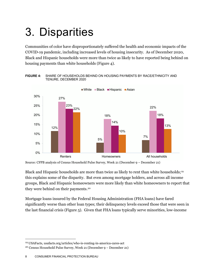## <span id="page-8-0"></span>3. Disparities

 Communities of color have disproportionately suffered the health and economic impacts of the COVID-19 pandemic, including increased levels of housing insecurity. As of December 2020, housing payments than white households (Figure 4). Black and Hispanic households were more than twice as likely to have reported being behind on



 **FIGURE 4:** SHARE OF HOUSEHOLDS BEHIND ON HOUSING PAYMENTS BY RACE/ETHNICITY AND TENURE, DECEMBER 2020

Source: CFPB analysis of Census Household Pulse Survey, Week 21 (December 9 – December 21)

 they were behind on their payments.[20](#page-8-2)  Black and Hispanic households are more than twice as likely to rent than white households;<sup>[19](#page-8-1)</sup> this explains some of the disparity. But even among mortgage holders, and across all income groups, Black and Hispanic homeowners were more likely than white homeowners to report that

 the last financial crisis (Figure 5). Given that FHA loans typically serve minorities, low-income Mortgage loans insured by the Federal Housing Administration (FHA loans) have fared significantly worse than other loan types; their delinquency levels exceed those that were seen in

<span id="page-8-1"></span><sup>19</sup> USAFacts, [usafacts.org/articles/who-is-renting-in-america-cares-act](https://usafacts.org/articles/who-is-renting-in-america-cares-act)

<span id="page-8-2"></span> 20 Census Household Pulse Survey, Week 21 (December 9 – December 21)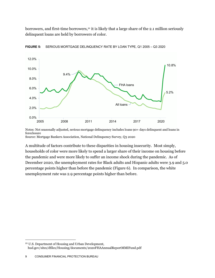delinquent loans are held by borrowers of color. borrowers, and first-time borrowers,<sup>21</sup> it is likely that a large share of the 2.1 million seriously



**FIGURE 5:** SERIOUS MORTGAGE DELINQUENCY RATE BY LOAN TYPE, Q1 2005 – Q3 2020

Notes: Not seasonally adjusted, serious mortgage delinquency includes loans 90+ days delinquent and loans in foreclosure Source: Mortgage Bankers Association, National Delinquency Survey, Q3 2020

 A multitude of factors contribute to these disparities in housing insecurity. Most simply, households of color were more likely to spend a larger share of their income on housing before the pandemic and were more likely to suffer an income shock during the pandemic. As of December 2020, the unemployment rates for Black adults and Hispanic adults were 3.9 and 5.0 percentage points higher than before the pandemic (Figure 6). In comparison, the white unemployment rate was 2.9 percentage points higher than before.

<span id="page-9-0"></span><sup>21</sup> U.S. Department of Housing and Urban Development, [hud.gov/sites/dfiles/Housing/documents/2020FHAAnnualReportMMIFund.pdf](https://hud.gov/sites/dfiles/Housing/documents/2020FHAAnnualReportMMIFund.pdf)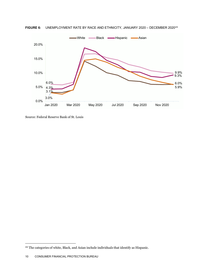

**FIGURE 6:** UNEMPLOYMENT RATE BY RACE AND ETHNICITY, JANUARY 2020 – DECEMBER 2020<sup>22</sup>

Source: Federal Reserve Bank of St. Louis

<span id="page-10-0"></span><sup>&</sup>lt;sup>22</sup> The categories of white, Black, and Asian include individuals that identify as Hispanic.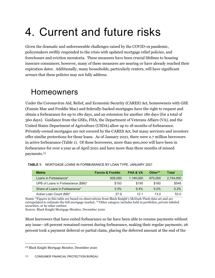## <span id="page-11-0"></span>4. Current and future risks

 expiration dates. Additionally, many households, particularly renters, will have significant arrears that these policies may not fully address. Given the dramatic and unforeseeable challenges raised by the COVID-19 pandemic, policymakers swiftly responded to the crisis with updated mortgage relief policies, and foreclosure and eviction moratoria. These measures have been crucial lifelines to housing insecure consumers; however, many of these measures are nearing or have already reached their

#### <span id="page-11-1"></span>Homeowners

United States Department of Agriculture (USDA) allow up to 18 months of forbearance. offer similar protections for those loans. As of January 2021, there were 2.7 million borrowers in active forbearance (Table 1). Of these borrowers, more than 900,000 will have been in forbearance for over a year as of April 2021 and have more than three months of missed Under the Coronavirus Aid, Relief, and Economic Security (CARES) Act, homeowners with GSE (Fannie Mae and Freddie Mac) and federally-backed mortgages have the right to request and obtain a forbearance for up to 180 days, and an extension for another 180 days (for a total of 360 days). Guidance from the GSEs, FHA, the Department of Veterans Affairs (VA), and the Privately-owned mortgages are not covered by the CARES Act, but many servicers and investors payments.<sup>23</sup>

| <b>Metric</b>                        | <b>Fannie &amp; Freddie</b> | <b>FHA &amp; VA</b> | Other** | Total     |
|--------------------------------------|-----------------------------|---------------------|---------|-----------|
| Loans in Forbearance*                | 929,000                     | 1.140.000           | 675,000 | 2,744,000 |
| UPB of Loans in Forbearance (\$Bil)* | \$193                       | \$195               | \$160   | \$548     |
| Share of Loans in Forbearance*       | 3.3%                        | $9.4\%$             | $5.2\%$ | $5.2\%$   |
| Active Loan Count (Mil)*             | 27.9                        | 121                 | 13.0    | 53.0      |

**TABLE 1:** MORTGAGE LOANS IN FORBEARANCE BY LOAN TYPE, JANUARY 2021

 Notes: \*Figures in this table are based on observations from Black Knight's McDash Flash data set and are extrapolated to estimate the full mortgage market; \*\*Other category includes held in portfolios, private labeled securities, or by other entities

Source: Black Knight Mortgage Monitor, December 2020

 Most borrowers that have exited forbearance so far have been able to resume payments without any issue—28 percent remained current during forbearance, making their regular payments; 26 percent took a payment deferral or partial claim, placing the deferred amount at the end of the

<span id="page-11-2"></span><sup>23</sup> Black Knight Mortgage Monitor, December 2020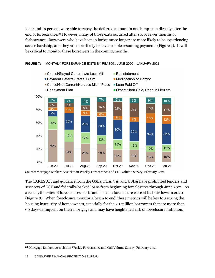forbearance. Borrowers who have been in forbearance longer are more likely to be experiencing severe hardship, and they are more likely to have trouble resuming payments (Figure 7). It will loan; and 16 percent were able to repay the deferred amount in one lump-sum directly after the end of forbearance.[24](#page-12-0) However, many of those exits occurred after six or fewer months of be critical to monitor these borrowers in the coming months.



#### **FIGURE 7:** MONTHLY FORBEARANCE EXITS BY REASON, JUNE 2020 – JANUARY 2021

Source: Mortgage Bankers Association Weekly Forbearance and Call Volume Survey, February 2021

 a result, the rates of foreclosures starts and loans in foreclosure were at historic lows in 2020 (Figure 8). When foreclosure moratoria begin to end, these metrics will be key to gauging the 90 days delinquent on their mortgage and may have heightened risk of foreclosure initiation. The CARES Act and guidance from the GSEs, FHA, VA, and USDA have prohibited lenders and servicers of GSE and federally-backed loans from beginning foreclosures through June 2021. As housing insecurity of homeowners, especially for the 2.1 million borrowers that are more than

<span id="page-12-0"></span><sup>24</sup> Mortgage Bankers Association Weekly Forbearance and Call Volume Survey, February 2021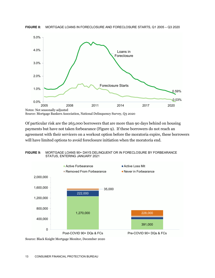



Source: Mortgage Bankers Association, National Delinquency Survey, Q3 2020

 payments but have not taken forbearance (Figure 9). If these borrowers do not reach an will have limited options to avoid foreclosure initiation when the moratoria end. Of particular risk are the 263,000 borrowers that are more than 90 days behind on housing agreement with their servicers on a workout option before the moratoria expire, these borrowers



 **FIGURE 9:** MORTGAGE LOANS 90+ DAYS DELINQUENT OR IN FORECLOSURE BY FORBEARANCE STATUS, ENTERING JANUARY 2021

Source: Black Knight Mortgage Monitor, December 2020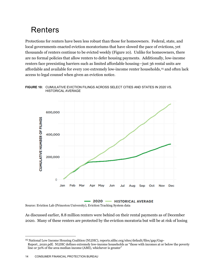### <span id="page-14-0"></span>Renters

 Protections for renters have been less robust than those for homeowners. Federal, state, and thousands of renters continue to be evicted weekly (Figure 10). Unlike for homeowners, there are no formal policies that allow renters to defer housing payments. Additionally, low-income renters face preexisting barriers such as limited affordable housing—just 36 rental units are affordable and available for every 100 extremely low-income renter households,<sup>[25](#page-14-1)</sup> and often lack local governments enacted eviction moratoriums that have slowed the pace of evictions, yet access to legal counsel when given an eviction notice.

 **FIGURE 10:** CUMULATIVE EVICTION FILINGS ACROSS SELECT CITIES AND STATES IN 2020 VS. HISTORICAL AVERAGE



2020 - HISTORICAL AVERAGE Source: Eviction Lab (Princeton University), Eviction Tracking System data

 As discussed earlier, 8.8 million renters were behind on their rental payments as of December 2020. Many of these renters are protected by the eviction moratoria but will be at risk of losing

<span id="page-14-1"></span> line or 30% of the area median income (AMI), whichever is greater" 25 National Low Income Housing Coalition (NLIHC), [reports.nlihc.org/sites/default/files/gap/Gap-](https://reports.nlihc.org/sites/default/files/gap/Gap)Report\_2020.pdf; NLIHC defines extremely low-income households as "those with incomes at or below the poverty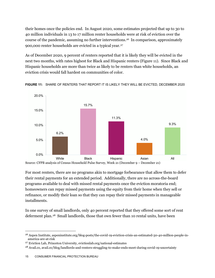their homes once the policies end. In August 2020, some estimates projected that up to 30 to 40 million individuals in 13 to 17 million renter households were at risk of eviction over the course of the pandemic, assuming no further interventions.[26](#page-15-0) In comparison, approximately 900,000 renter households are evicted in a typical year. $^{27}$  $^{27}$  $^{27}$ 

 As of December 2020, 9 percent of renters reported that it is likely they will be evicted in the next two months, with rates highest for Black and Hispanic renters (Figure 11). Since Black and eviction crisis would fall hardest on communities of color. Hispanic households are more than twice as likely to be renters than white households, an



**FIGURE 11:** SHARE OF RENTERS THAT REPORT IT IS LIKELY THEY WILL BE EVICTED, DECEMBER 2020

 their rental payments for an extended period. Additionally, there are no across-the-board homeowners can repay missed payments using the equity from their home when they sell or installments. For most renters, there are no programs akin to mortgage forbearance that allow them to defer programs available to deal with missed rental payments once the eviction moratoria end; refinance, or modify their loan so that they can repay their missed payments in manageable

 deferment plan.[28](#page-15-2) Small landlords, those that own fewer than 10 rental units, have been In one survey of small landlords, only 40 percent reported that they offered some sort of rent

<span id="page-15-0"></span><sup>26</sup> Aspen Institute, [aspeninstitute.org/blog-posts/the-covid-19-eviction-crisis-an-estimated-30-40-million-people-in](https://aspeninstitute.org/blog-posts/the-covid-19-eviction-crisis-an-estimated-30-40-million-people-in)america-are-at-risk

<span id="page-15-1"></span> 27 Eviction Lab, Princeton University, [evictionlab.org/national-estimates](https://evictionlab.org/national-estimates) 

<span id="page-15-2"></span><sup>28</sup> [Avail.co](https://Avail.co), avail.co/blog/landlords-and-renters-struggling-to-make-ends-meet-during-covid-19-uncertainty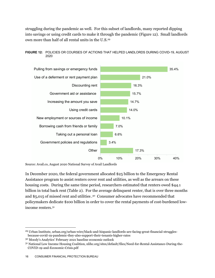into savings or using credit cards to make it through the pandemic (Figure 12). Small landlords own more than half of all rental units in the U.S. [29](#page-16-0)  struggling during the pandemic as well. For this subset of landlords, many reported dipping





Source: [Avail.co](https://Avail.co), August 2020 National Survey of Avail Landlords

 Assistance program to assist renters cover rent and utilities, as well as the arrears on these housing costs. During the same time period, researchers estimated that renters owed \$44.1 billion in total back rent (Table 2). For the average delinquent renter, that is over three months and \$5,015 of missed rent and utilities .[30](#page-16-1) Consumer advocates have recommended that In December 2020, the federal government allocated \$25 billion to the Emergency Rental policymakers dedicate \$100 billion in order to cover the rental payments of cost-burdened lowincome renters.[31](#page-16-2)

<span id="page-16-0"></span> 29 Urban Institute, [urban.org/urban-wire/black-and-hispanic-landlords-are-facing-great-financial-struggles](https://urban.org/urban-wire/black-and-hispanic-landlords-are-facing-great-financial-struggles)because-covid-19-pandemic-they-also-support-their-tenants-higher-rates

<span id="page-16-1"></span><sup>30</sup> Moody's Analytics' February 2021 baseline economic outlook

<span id="page-16-2"></span><sup>31</sup> National Low Income Housing Coalition, [nlihc.org/sites/default/files/Need-for-Rental-Assistance-During-the](https://nlihc.org/sites/default/files/Need-for-Rental-Assistance-During-the)-COVID-19-and-Economic-Crisis.pdf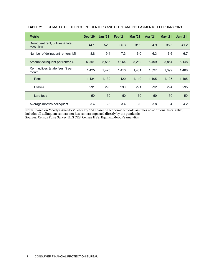| <b>Metric</b>                                    | <b>Dec '20</b> | <b>Jan '21</b> | <b>Feb '21</b> | <b>Mar '21</b> | <b>Apr '21</b> | <b>May '21</b> | <b>Jun '21</b> |
|--------------------------------------------------|----------------|----------------|----------------|----------------|----------------|----------------|----------------|
| Delinquent rent, utilities & late<br>fees, \$Bil | 44.1           | 52.6           | 36.3           | 31.9           | 34.9           | 38.5           | 41.2           |
| Number of delinguent renters, Mil                | 8.8            | 9.4            | 7.3            | 6.0            | 6.3            | 6.6            | 6.7            |
| Amount delinquent per renter, \$                 | 5,015          | 5,586          | 4,964          | 5,282          | 5.499          | 5,854          | 6,148          |
| Rent, utilities & late fees, \$ per<br>month     | 1,425          | 1.420          | 1.410          | 1.401          | 1.397          | 1.399          | 1,400          |
| Rent                                             | 1,134          | 1,130          | 1,120          | 1,110          | 1,105          | 1.105          | 1,105          |
| <b>Utilities</b>                                 | 291            | 290            | 290            | 291            | 292            | 294            | 295            |
| Late fees                                        | 50             | 50             | 50             | 50             | 50             | 50             | 50             |
| Average months delinquent                        | 3.4            | 3.8            | 3.4            | 3.6            | 3.8            | 4              | 4.2            |

#### **TABLE 2:** ESTIMATES OF DELINQUENT RENTERS AND OUTSTANDING PAYMENTS, FEBRUARY 2021

 Notes: Based on Moody's Analytics' February 2021 baseline economic outlook; assumes no additional fiscal relief; includes all delinquent renters, not just renters impacted directly by the pandemic Sources: Census Pulse Survey, BLS CES, Census HVS, Equifax, Moody's Analytics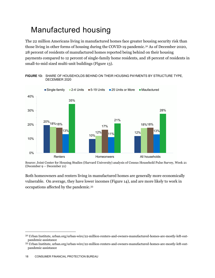### <span id="page-18-0"></span>Manufactured housing

 The 22 million Americans living in manufactured homes face greater housing security risk than 28 percent of residents of manufactured homes reported being behind on their housing small-to-mid sized multi-unit buildings (Figure 13). those living in other forms of housing during the COVID-19 pandemic.[32](#page-18-1) As of December 2020, payments compared to 12 percent of single-family home residents, and 18 percent of residents in



 **FIGURE 13:** SHARE OF HOUSEHOLDS BEHIND ON THEIR HOUSING PAYMENTS BY STRUCTURE TYPE, DECEMBER 2020

 Both homeowners and renters living in manufactured homes are generally more economically vulnerable. On average, they have lower incomes (Figure 14), and are more likely to work in occupations affected by the pandemic.[33](#page-18-2)

 (December 9 – December 21) Source: Joint Center for Housing Studies (Harvard University) analysis of Census Household Pulse Survey, Week 21

<span id="page-18-1"></span><sup>32</sup> Urban Institute, [urban.org/urban-wire/22-million-renters-and-owners-manufactured-homes-are-mostly-left-out](https://urban.org/urban-wire/22-million-renters-and-owners-manufactured-homes-are-mostly-left-out)pandemic-assistance

<span id="page-18-2"></span> 33 Urban Institute, [urban.org/urban-wire/22-million-renters-and-owners-manufactured-homes-are-mostly-left-out](https://urban.org/urban-wire/22-million-renters-and-owners-manufactured-homes-are-mostly-left-out)pandemic-assistance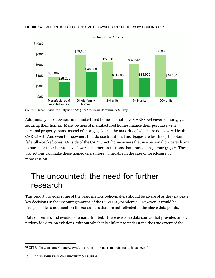

**FIGURE 14:** MEDIAN HOUSEHOLD INCOME OF OWNERS AND RENTERS BY HOUSING TYPE

Source: Urban Institute analysis of 2013-18 American Community Survey

 to purchase their homes have fewer consumer protections than those using a mortgage.[34](#page-19-1) These Additionally, most owners of manufactured homes do not have CARES Act covered mortgages securing their homes. Many owners of manufactured homes finance their purchase with personal property loans instead of mortgage loans, the majority of which are not covered by the CARES Act. And even homeowners that do use traditional mortgages are less likely to obtain federally-backed ones. Outside of the CARES Act, homeowners that use personal property loans protections can make these homeowners more vulnerable in the case of foreclosure or repossession.

#### <span id="page-19-0"></span>The uncounted: the need for further research

 This report provides some of the basic metrics policymakers should be aware of as they navigate key decisions in the upcoming months of the COVID-19 pandemic. However, it would be irresponsible to not mention the consumers that are not reflected in the above data points.

Data on renters and evictions remains limited. There exists no data source that provides timely, nationwide data on evictions, without which it is difficult to understand the true extent of the

<span id="page-19-1"></span><sup>34</sup> CFPB, [files.consumerfinance.gov/f/201409\\_cfpb\\_report\\_manufactured-housing.pdf](https://files.consumerfinance.gov/f/201409_cfpb_report_manufactured-housing.pdf)